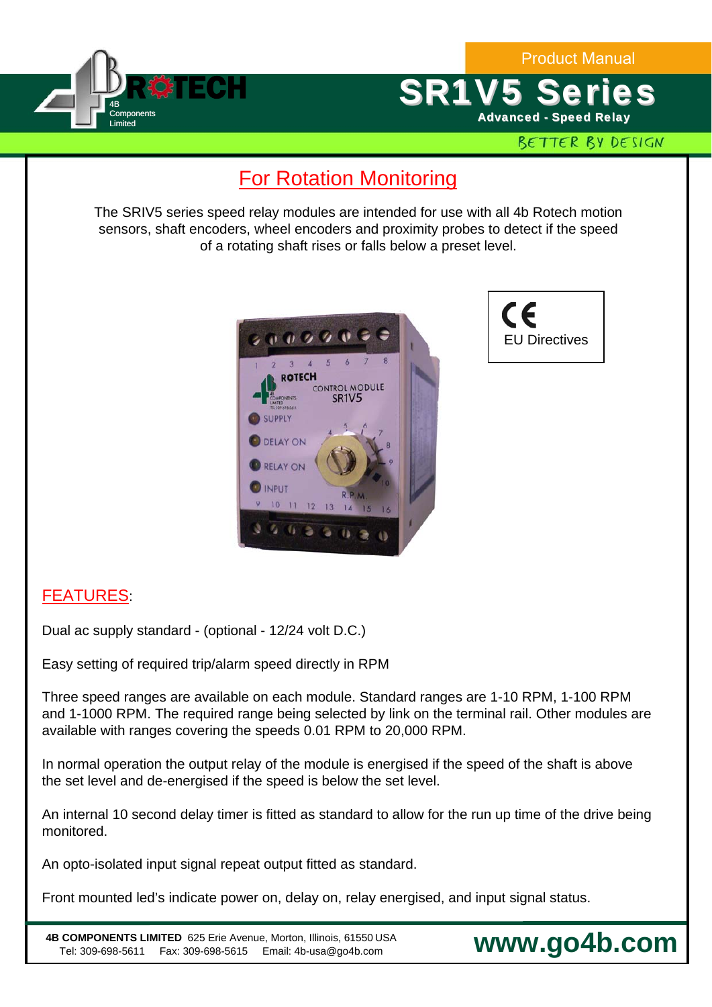



BETTER BY DESIGN

## **For Rotation Monitoring**

The SRIV5 series speed relay modules are intended for use with all 4b Rotech motion sensors, shaft encoders, wheel encoders and proximity probes to detect if the speed of a rotating shaft rises or falls below a preset level.





**www.go4b.com**

## FEATURES:

Dual ac supply standard - (optional - 12/24 volt D.C.)

Easy setting of required trip/alarm speed directly in RPM

Three speed ranges are available on each module. Standard ranges are 1-10 RPM, 1-100 RPM and 1-1000 RPM. The required range being selected by link on the terminal rail. Other modules are available with ranges covering the speeds 0.01 RPM to 20,000 RPM.

In normal operation the output relay of the module is energised if the speed of the shaft is above the set level and de-energised if the speed is below the set level.

An internal 10 second delay timer is fitted as standard to allow for the run up time of the drive being monitored.

An opto-isolated input signal repeat output fitted as standard.

Front mounted led's indicate power on, delay on, relay energised, and input signal status.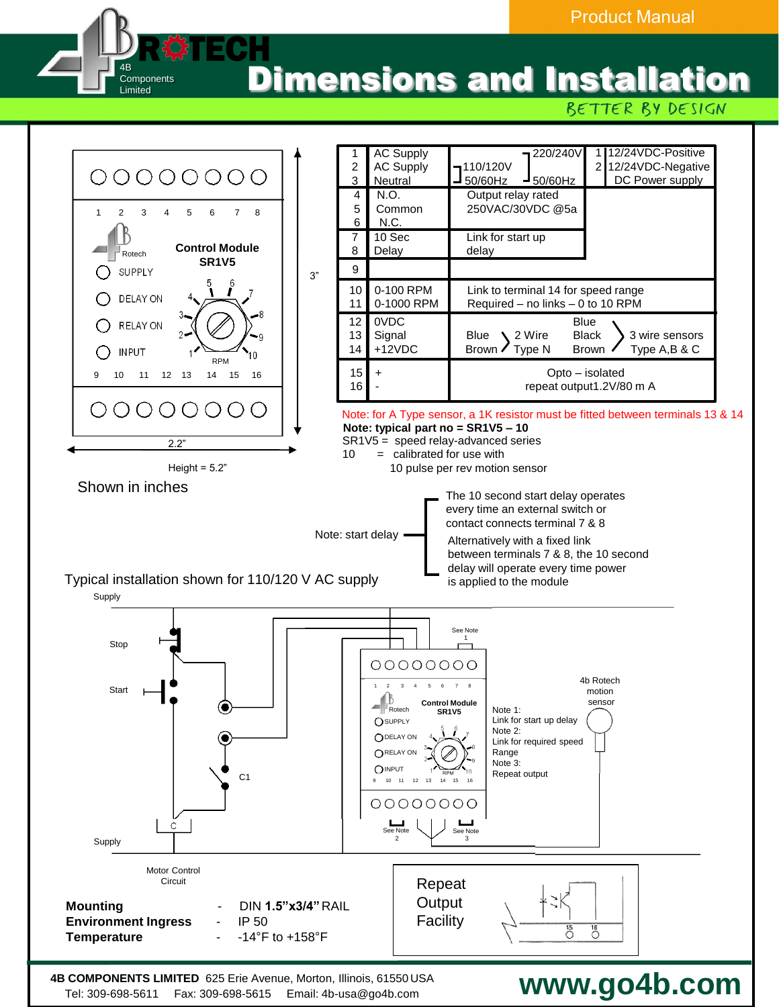Dimensions and Installation **R#TECH** 

BETTER BY DESIGN



Tel: 309-698-5611 Fax: 309-698-5615 Email: 4b-usa@go4b.com

4B **Components** Limited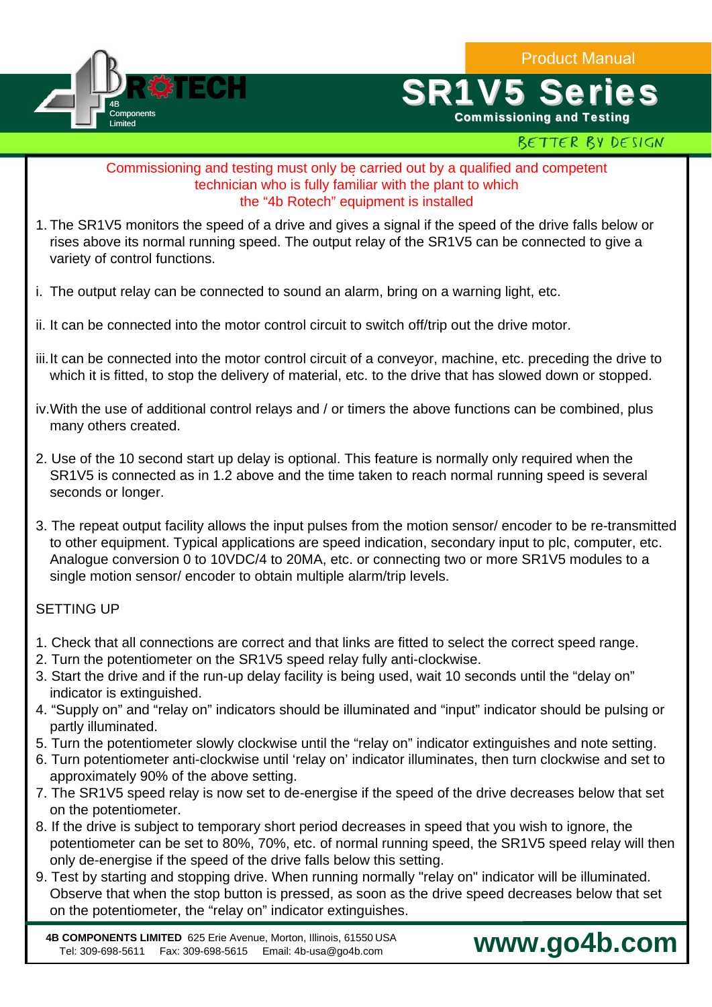Product Manual



# **SR1V5 Ser**

Commissioning and Testing

## BETTER BY DESIGN

#### . Commissioning and testing must only be carried out by a qualified and competent technician who is fully familiar with the plant to which the "4b Rotech" equipment is installed

- 1. The SR1V5 monitors the speed of a drive and gives a signal if the speed of the drive falls below or rises above its normal running speed. The output relay of the SR1V5 can be connected to give a variety of control functions.
- i. The output relay can be connected to sound an alarm, bring on a warning light, etc.
- ii. It can be connected into the motor control circuit to switch off/trip out the drive motor.
- iii. It can be connected into the motor control circuit of a conveyor, machine, etc. preceding the drive to which it is fitted, to stop the delivery of material, etc. to the drive that has slowed down or stopped.
- iv.With the use of additional control relays and / or timers the above functions can be combined, plus many others created.
- 2. Use of the 10 second start up delay is optional. This feature is normally only required when the SR1V5 is connected as in 1.2 above and the time taken to reach normal running speed is several seconds or longer.
- 3. The repeat output facility allows the input pulses from the motion sensor/ encoder to be re-transmitted to other equipment. Typical applications are speed indication, secondary input to plc, computer, etc. Analogue conversion 0 to 10VDC/4 to 20MA, etc. or connecting two or more SR1V5 modules to a single motion sensor/ encoder to obtain multiple alarm/trip levels.

## SETTING UP

- 1. Check that all connections are correct and that links are fitted to select the correct speed range.
- 2. Turn the potentiometer on the SR1V5 speed relay fully anti-clockwise.
- 3. Start the drive and if the run-up delay facility is being used, wait 10 seconds until the "delay on" indicator is extinguished.
- 4. "Supply on" and "relay on" indicators should be illuminated and "input" indicator should be pulsing or partly illuminated.
- 5. Turn the potentiometer slowly clockwise until the "relay on" indicator extinguishes and note setting.
- 6. Turn potentiometer anti-clockwise until 'relay on' indicator illuminates, then turn clockwise and set to approximately 90% of the above setting.
- 7. The SR1V5 speed relay is now set to de-energise if the speed of the drive decreases below that set on the potentiometer.
- 8. If the drive is subject to temporary short period decreases in speed that you wish to ignore, the potentiometer can be set to 80%, 70%, etc. of normal running speed, the SR1V5 speed relay will then only de-energise if the speed of the drive falls below this setting.
- 9. Test by starting and stopping drive. When running normally "relay on" indicator will be illuminated. Observe that when the stop button is pressed, as soon as the drive speed decreases below that set on the potentiometer, the "relay on" indicator extinguishes.

**4B COMPONENTS LIMITED** 625 Erie Avenue, Morton, Illinois, 61550 USA Tel: 309-698-5611 Fax: 309-698-5615 Email: 4b-usa@go4b.com

## **www.go4b.com**